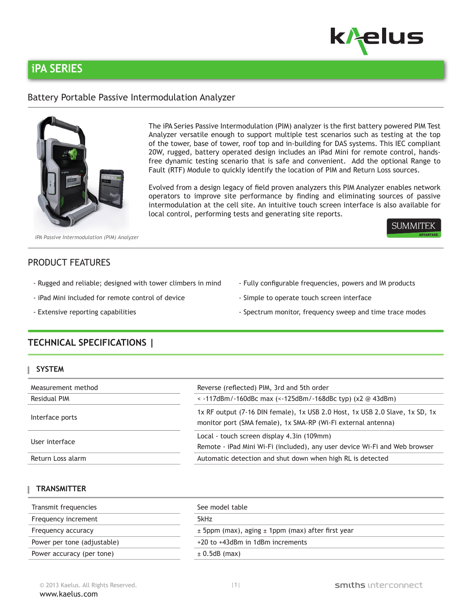

# **iPA SERIES**

### Battery Portable Passive Intermodulation Analyzer



The iPA Series Passive Intermodulation (PIM) analyzer is the first battery powered PIM Test Analyzer versatile enough to support multiple test scenarios such as testing at the top of the tower, base of tower, roof top and in-building for DAS systems. This IEC compliant 20W, rugged, battery operated design includes an iPad Mini for remote control, handsfree dynamic testing scenario that is safe and convenient. Add the optional Range to Fault (RTF) Module to quickly identify the location of PIM and Return Loss sources.

Evolved from a design legacy of field proven analyzers this PIM Analyzer enables network operators to improve site performance by finding and eliminating sources of passive intermodulation at the cell site. An intuitive touch screen interface is also available for local control, performing tests and generating site reports.



*iPA Passive Intermodulation (PIM) Analyzer*

### PRODUCT FEATURES

- Rugged and reliable; designed with tower climbers in mind Fully configurable frequencies, powers and IM products
	-
- 
- 
- iPad Mini included for remote control of device Simple to operate touch screen interface
- Extensive reporting capabilities Spectrum monitor, frequency sweep and time trace modes

## **TECHNICAL SPECIFICATIONS |**

| <b>SYSTEM</b>      |                                                                                                                                               |  |  |
|--------------------|-----------------------------------------------------------------------------------------------------------------------------------------------|--|--|
| Measurement method | Reverse (reflected) PIM, 3rd and 5th order                                                                                                    |  |  |
| Residual PIM       | $\sim$ -117dBm/-160dBc max ( $\sim$ -125dBm/-168dBc typ) (x2 @ 43dBm)                                                                         |  |  |
| Interface ports    | 1x RF output (7-16 DIN female), 1x USB 2.0 Host, 1x USB 2.0 Slave, 1x SD, 1x<br>monitor port (SMA female), 1x SMA-RP (Wi-Fi external antenna) |  |  |
| User interface     | Local - touch screen display 4.3in (109mm)<br>Remote - iPad Mini Wi-Fi (included), any user device Wi-Fi and Web browser                      |  |  |
| Return Loss alarm  | Automatic detection and shut down when high RL is detected                                                                                    |  |  |

### **TRANSMITTER**

| Transmit frequencies        | See model table<br>5kHz<br>$\pm$ 5ppm (max), aging $\pm$ 1ppm (max) after first year |  |  |
|-----------------------------|--------------------------------------------------------------------------------------|--|--|
| Frequency increment         |                                                                                      |  |  |
| Frequency accuracy          |                                                                                      |  |  |
| Power per tone (adjustable) | +20 to +43dBm in 1dBm increments                                                     |  |  |
| Power accuracy (per tone)   | $\pm$ 0.5dB (max)                                                                    |  |  |